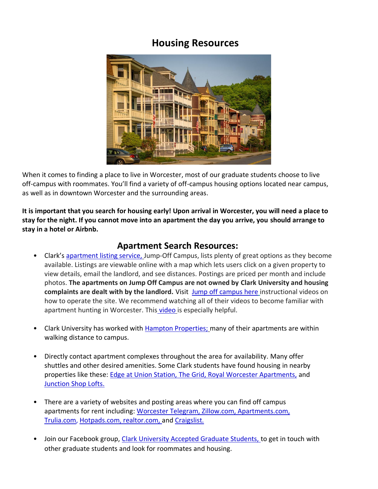## **Housing Resources**



When it comes to finding a place to live in Worcester, most of our graduate students choose to live off-campus with roommates. You'll find a variety of off-campus housing options located near campus, as well as in downtown Worcester and the surrounding areas.

**It is important that you search for housing early! Upon arrival in Worcester, you will need a place to stay for the night. If you cannot move into an apartment the day you arrive, you should arrange to stay in a hotel or Airbnb.** 

### **Apartment Search Resources:**

- Clark's [apartment listing service,](https://www.clarku.edu/offices/housing/off-campus-housing-listing/) Jump-Off Campus, lists plenty of great options as they become available. Listings are viewable online with a map which lets users click on a given property to view details, email the landlord, and see distances. Postings are priced per month and include photos. **The apartments on Jump Off Campus are not owned by Clark University and housing complaints are dealt with by the landlord.** Visit[Jump off campus here](https://clarku.jumpoffcampus.com/learning-center/the-three-keys-to-simplifying-your-apartment-search) instructional videos on how to operate the site. We recommend watching all of their videos to become familiar with apartment hunting in Worcester. This [video](https://clarku.jumpoffcampus.com/learning-center/the-three-keys-to-simplifying-your-apartment-search) is especially helpful.
- Clark University has worked with [Hampton Properties;](https://www.hamptonpropertiesllc.com/rentals/) many of their apartments are within walking distance to campus.
- Directly contact apartment complexes throughout the area for availability. Many offer shuttles and other desired amenities. Some Clark students have found housing in nearby properties like these: [Edge at Union Station,](https://nam10.safelinks.protection.outlook.com/?url=https%3A%2F%2Fwww.edgeunionstation.com%2F&data=02%7C01%7CKSonnett%40clarku.edu%7C09a84431fecb48081b6f08d817da940b%7Cb5b2263d68aa453eb972aa1421410f80%7C1%7C0%7C637285574837761522&sdata=xdIWZ6yjNofKqE%2BUbyT7ouRZEWIuRwt0ZWML2Z6lZH4%3D&reserved=0) [The Grid,](https://nam10.safelinks.protection.outlook.com/?url=https%3A%2F%2Fwww.thegriddistrict.com%2F&data=02%7C01%7CKSonnett%40clarku.edu%7Cae49436d986d46fcedc108d8178ec491%7Cb5b2263d68aa453eb972aa1421410f80%7C1%7C0%7C637285249233494287&sdata=zL8wzHPVrNcyjTVpA7i1Tmfg7jiRl%2Bw4ySVNdHgjjMI%3D&reserved=0) [Royal Worcester Apartments,](https://nam10.safelinks.protection.outlook.com/?url=https%3A%2F%2Fwww.royalworcesterapartmentsbc.com%2F%3F_yTrackUser%3DODMwNzQ0ODU4IzUwNTQ3OTg3Mw%253d%253d-sxQSEPqP4ZQ%253d%26_yTrackVisit%3DMTUwNDM1MTY1OSM0NTQ0NzUyMQ%253d%253d-pqPgOqUjbws%253d%26_yTrackReqDT%3D06541520202306&data=02%7C01%7CKSonnett%40clarku.edu%7Cae49436d986d46fcedc108d8178ec491%7Cb5b2263d68aa453eb972aa1421410f80%7C1%7C0%7C637285249233504242&sdata=ua%2F6GuD6JfdIPPEzr4t5Sfxr%2FJcGk%2FfLb7b%2FhcQMEPM%3D&reserved=0) and [Junction Shop Lofts.](https://nam10.safelinks.protection.outlook.com/?url=https%3A%2F%2Fbradysullivan.com%2Fmassachusetts-residential-rent%2Fjunction-shop-lofts&data=02%7C01%7CKSonnett%40clarku.edu%7Cae49436d986d46fcedc108d8178ec491%7Cb5b2263d68aa453eb972aa1421410f80%7C1%7C0%7C637285249233504242&sdata=bFBCKrsBuj%2Bs1Ai8EngO5EFL3JPbwZ1cHkOVxbf8fv0%3D&reserved=0)
- There are a variety of websites and posting areas where you can find off campus apartments for rent including: [Worcester Telegram,](https://www.telegram.com/) [Zillow.com,](https://www.zillow.com/) [Apartments.com,](https://www.apartments.com/off-campus-housing/ma/worcester/clark-university/) [Trulia.com,](https://www.trulia.com/for_rent/Worcester,MA/) [Hotpads.com](https://hotpads.com/worcester-ma/apartments-for-rent), [realtor.com, a](https://www.realtor.com/apartments/Worcester_MA)nd [Craigslist.](https://worcester.craigslist.org/)
- Join our Facebook group, [Clark University Accepted Graduate Students, t](https://www.facebook.com/groups/clarkgradstudents/)o get in touch with other graduate students and look for roommates and housing.